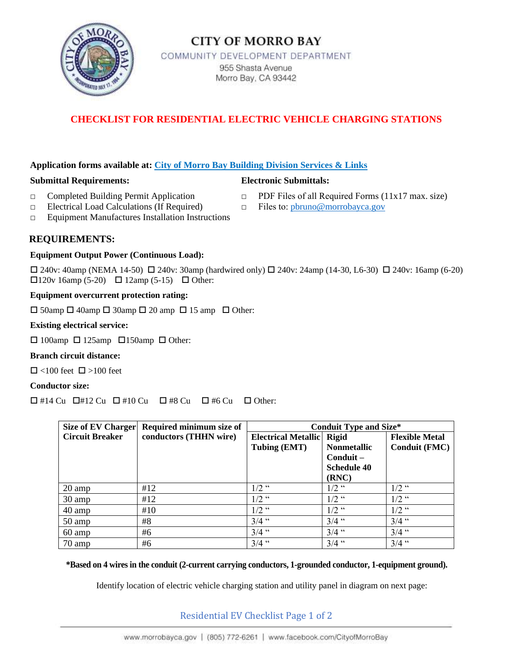

# **CITY OF MORRO BAY**

COMMUNITY DEVELOPMENT DEPARTMENT

955 Shasta Avenue Morro Bay, CA 93442

# **CHECKLIST FOR RESIDENTIAL ELECTRIC VEHICLE CHARGING STATIONS**

### **Application forms available at: City of Morro Bay Building Division Services & Links**

#### **Submittal Requirements: Electronic Submittals:**

- 
- **□** Completed Building Permit Application □ PDF Files of all Required Forms (11x17 max. size)
- **□** Electrical Load Calculations (If Required) □ Files to: [pbruno@morrobayca.gov](mailto:pbruno@morrobayca.gov)
- **□** Equipment Manufactures Installation Instructions

# **REQUIREMENTS:**

#### **Equipment Output Power (Continuous Load):**

 $\Box$  240v: 40amp (NEMA 14-50)  $\Box$  240v: 30amp (hardwired only)  $\Box$  240v: 24amp (14-30, L6-30)  $\Box$  240v: 16amp (6-20)  $\Box$ 120v 16amp (5-20)  $\Box$  12amp (5-15)  $\Box$  Other:

#### **Equipment overcurrent protection rating:**

 $\Box$  50amp  $\Box$  40amp  $\Box$  30amp  $\Box$  20 amp  $\Box$  15 amp  $\Box$  Other:

#### **Existing electrical service:**

 $\Box$  100amp  $\Box$  125amp  $\Box$  150amp  $\Box$  Other:

#### **Branch circuit distance:**

 $\Box$  <100 feet  $\Box$  >100 feet

#### **Conductor size:**

 $\Box$  #14 Cu  $\Box$  #12 Cu  $\Box$  #10 Cu  $\Box$  #8 Cu  $\Box$  #6 Cu  $\Box$  Other:

| <b>Size of EV Charger</b> | Required minimum size of | <b>Conduit Type and Size*</b>              |                    |                       |  |
|---------------------------|--------------------------|--------------------------------------------|--------------------|-----------------------|--|
| <b>Circuit Breaker</b>    | conductors (THHN wire)   | <b>Electrical Metallic</b><br><b>Rigid</b> |                    | <b>Flexible Metal</b> |  |
|                           |                          | Tubing (EMT)                               | <b>Nonmetallic</b> | <b>Conduit (FMC)</b>  |  |
|                           |                          |                                            | $\text{Conduit} -$ |                       |  |
|                           |                          |                                            | <b>Schedule 40</b> |                       |  |
|                           |                          |                                            | (RNC)              |                       |  |
| 20 amp                    | #12                      | $1/2$ "                                    | $1/2$ "            | $1/2$ "               |  |
| 30 amp                    | #12                      | $1/2$ "                                    | $1/2$ "            | $1/2$ "               |  |
| 40 amp                    | #10                      | $1/2$ "                                    | $1/2$ "            | $1/2$ "               |  |
| 50 amp                    | #8                       | $3/4$ "                                    | $3/4$ "            | $3/4$ "               |  |
| $60 \text{ amp}$          | #6                       | $3/4$ "                                    | $3/4$ "            | $3/4$ "               |  |
| $70 \text{ amp}$          | #6                       | $3/4$ "                                    | $3/4$ "            | $3/4$ "               |  |

#### **\*Based on 4 wires in the conduit (2-current carrying conductors, 1-grounded conductor, 1-equipment ground).**

Identify location of electric vehicle charging station and utility panel in diagram on next page:

## Residential EV Checklist Page 1 of 2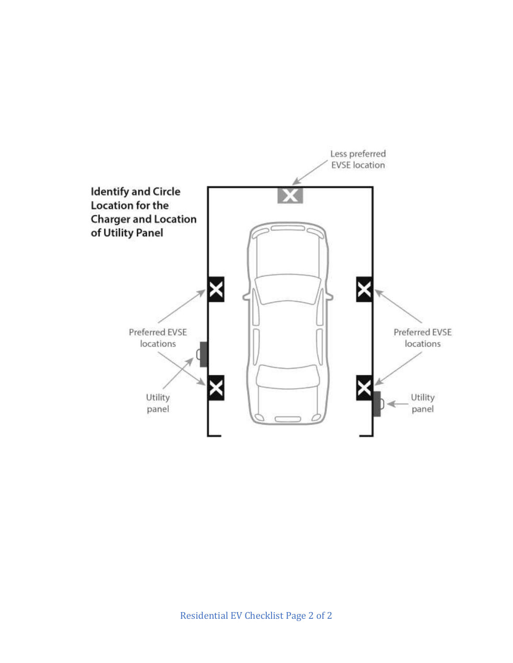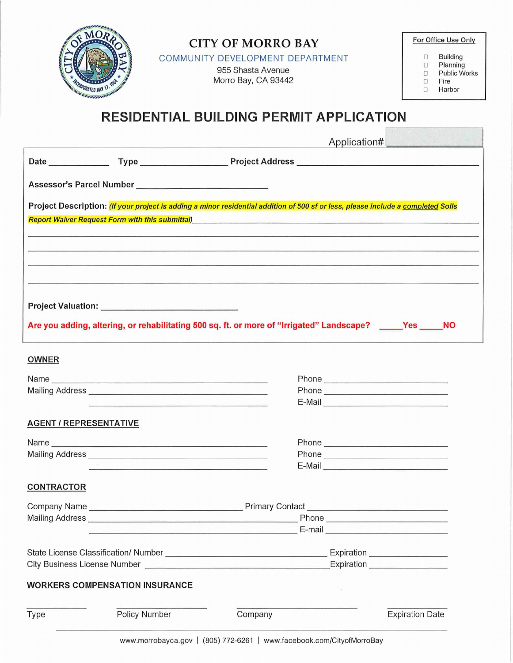| <b>MCORPORATED JULY 17.</b><br><b>INTERNATIONATED JULY</b><br><b>RESIDENTIAL BUILDING PERMIT APPLICATION</b>                                                                                                                                       | For Office Use Only<br><b>Building</b><br>O.<br>Planning<br>$\Box$<br><b>Public Works</b><br>$\Box$<br>Fire<br>O<br>Harbor<br>Π |                                                                                                                       |  |        |                                                                                                                      |  |
|----------------------------------------------------------------------------------------------------------------------------------------------------------------------------------------------------------------------------------------------------|---------------------------------------------------------------------------------------------------------------------------------|-----------------------------------------------------------------------------------------------------------------------|--|--------|----------------------------------------------------------------------------------------------------------------------|--|
|                                                                                                                                                                                                                                                    |                                                                                                                                 | <u> 1989 - Andrea Stadt Britain, amerikan bestean ing disebut bestean die stadt van die stadt van die stadt van d</u> |  |        | Application# 2009                                                                                                    |  |
|                                                                                                                                                                                                                                                    |                                                                                                                                 |                                                                                                                       |  |        |                                                                                                                      |  |
|                                                                                                                                                                                                                                                    |                                                                                                                                 |                                                                                                                       |  |        |                                                                                                                      |  |
| Project Description: (If your project is adding a minor residential addition of 500 sf or less, please include a completed Soils<br>Report Waiver Request Form with this submittal) Manual Communication of the Communication of the Communication |                                                                                                                                 |                                                                                                                       |  |        | <u> 1980 - De Barbara de Barbara de Barbara de Barbara de Barbara de Barbara de Barbara de Barbara de Barbara de</u> |  |
|                                                                                                                                                                                                                                                    |                                                                                                                                 |                                                                                                                       |  |        | <u> 1980 - Jan James James James James James James James James James James James James James James James James J</u> |  |
| Are you adding, altering, or rehabilitating 500 sq. ft. or more of "Irrigated" Landscape? _____Yes _____NO                                                                                                                                         |                                                                                                                                 |                                                                                                                       |  |        |                                                                                                                      |  |
| <b>OWNER</b>                                                                                                                                                                                                                                       |                                                                                                                                 |                                                                                                                       |  |        |                                                                                                                      |  |
| Name experience and a series of the series of the series of the series of the series of the series of the series of the series of the series of the series of the series of the series of the series of the series of the seri                     |                                                                                                                                 |                                                                                                                       |  |        |                                                                                                                      |  |
| Mailing Address                                                                                                                                                                                                                                    |                                                                                                                                 |                                                                                                                       |  |        |                                                                                                                      |  |
|                                                                                                                                                                                                                                                    |                                                                                                                                 |                                                                                                                       |  |        | E-Mail 2008 - 2008 - 2008 - 2010 - 2011 - 2012 - 2012 - 2012 - 2014 - 2014 - 2014 - 2014 - 2014 - 2014 - 2014        |  |
| <b>AGENT / REPRESENTATIVE</b>                                                                                                                                                                                                                      |                                                                                                                                 |                                                                                                                       |  |        |                                                                                                                      |  |
| Name experience and a series of the series of the series of the series of the series of the series of the series of the series of the series of the series of the series of the series of the series of the series of the seri                     |                                                                                                                                 |                                                                                                                       |  |        |                                                                                                                      |  |
|                                                                                                                                                                                                                                                    |                                                                                                                                 |                                                                                                                       |  |        |                                                                                                                      |  |
|                                                                                                                                                                                                                                                    | the contract of the contract of the contract of the contract of the contract of                                                 |                                                                                                                       |  |        | E-Mail 2008 - 2008 - 2010 - 2010 - 2010 - 2011 - 2012 - 2012 - 2014 - 2014 - 2014 - 2014 - 2014 - 2014 - 2014        |  |
| <b>CONTRACTOR</b>                                                                                                                                                                                                                                  |                                                                                                                                 |                                                                                                                       |  |        |                                                                                                                      |  |
|                                                                                                                                                                                                                                                    |                                                                                                                                 |                                                                                                                       |  |        |                                                                                                                      |  |
|                                                                                                                                                                                                                                                    |                                                                                                                                 |                                                                                                                       |  |        |                                                                                                                      |  |
|                                                                                                                                                                                                                                                    |                                                                                                                                 |                                                                                                                       |  |        |                                                                                                                      |  |
|                                                                                                                                                                                                                                                    |                                                                                                                                 |                                                                                                                       |  |        |                                                                                                                      |  |
|                                                                                                                                                                                                                                                    |                                                                                                                                 |                                                                                                                       |  |        |                                                                                                                      |  |
| <b>WORKERS COMPENSATION INSURANCE</b>                                                                                                                                                                                                              |                                                                                                                                 |                                                                                                                       |  | $\sim$ |                                                                                                                      |  |
| Type                                                                                                                                                                                                                                               | Policy Number                                                                                                                   | Company                                                                                                               |  |        | <b>Expiration Date</b>                                                                                               |  |